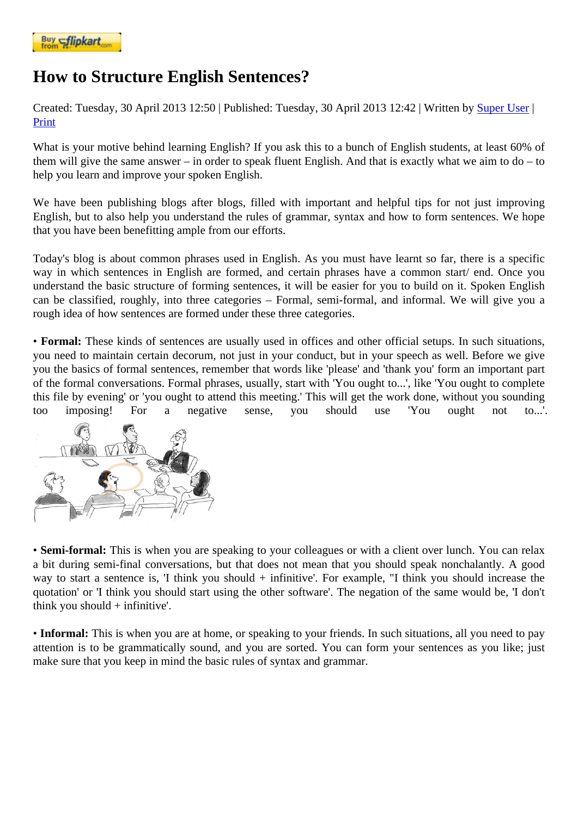## [How to Stru](https://www.flipkart.com/spoken-english-3rd/p/itmezunpyjy5xcc7?pid=9789339221461&affid=kaminiraw)cture English Sentences?

Created: Tuesday, 30 April 2013 12: Fublished: Tuesday, 30 April 2013 12: All ritten by Super Uset Print

What is your motive behind learning English? If you ask this to a bunch of English students, at least 60% of them will give the same answer – in order to speak fluent English. And that is exactly [what we ai](https://english.eagetutor.com/contact)m to do – to help you learn and improve your spoken English.

We have been publishing blogs after blogs, filled with important and helpful tips for not just improving English, but to also help you understand the rules of grammar, syntax and how to form sentences. We hop that you have been benefitting ample from our efforts.

Today's blog is about common phrases used in English. As you must have learnt so far, there is a specific way in which sentences in English are formed, and certain phrases have a common start/ end. Once yo understand the basic structure of forming sentences, it will be easier for you to build on it. Spoken English can be classified, roughly, into three categories – Formal, semi-formal, and informal. We will give you a rough idea of how sentences are formed under these three categories.

• Formal: These kinds of sentences are usually used in offices and other official setups. In such situations, you need to maintain certain decorum, not just in your conduct, but in your speech as well. Before we give you the basics of formal sentences, remember that words like 'please' and 'thank you' form an important partie of the formal conversations. Formal phrases, usually, start with 'You ought to...', like 'You ought to complete this file by evening' or 'you ought to attend this meeting.' This will get the work done, without you sounding too imposing! For a negative sense, you should use 'You ought not to...'.

• Semi-formal: This is when you are speaking to your colleagues or with a client over lunch. You can relax a bit during semi-final conversations, but that does not mean that you should speak nonchalantly. A good way to start a sentence is, 'I think you should + infinitive'. For example, "I think you should increase the quotation' or 'I think you should start using the other software'. The negation of the same would be, 'I don't think you should + infinitive'.

• Informal: This is when you are at home, or speaking to your friends. In such situations, all you need to pay attention is to be grammatically sound, and you are sorted. You can form your sentences as you like; just make sure that you keep in mind the basic rules of syntax and grammar.